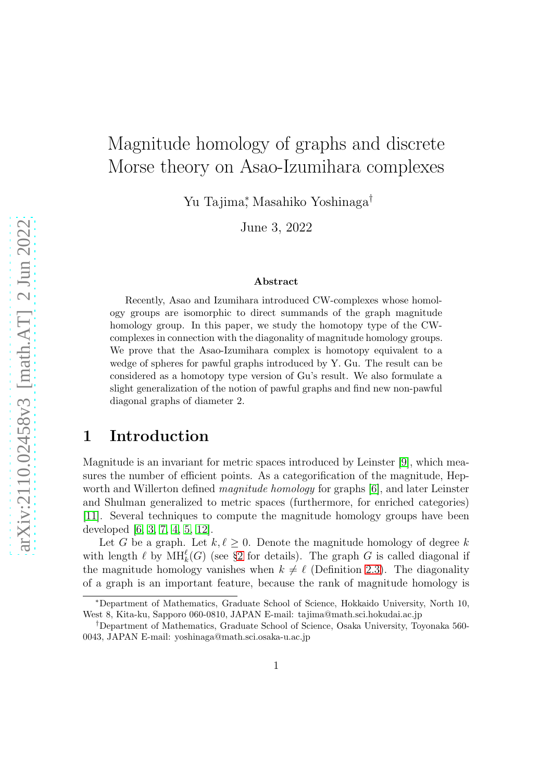# Magnitude homology of graphs and discrete Morse theory on Asao-Izumihara complexes

Yu Tajima<sup>∗</sup> , Masahiko Yoshinaga†

June 3, 2022

#### Abstract

Recently, Asao and Izumihara introduced CW-complexes whose homology groups are isomorphic to direct summands of the graph magnitude homology group. In this paper, we study the homotopy type of the CWcomplexes in connection with the diagonality of magnitude homology groups. We prove that the Asao-Izumihara complex is homotopy equivalent to a wedge of spheres for pawful graphs introduced by Y. Gu. The result can be considered as a homotopy type version of Gu's result. We also formulate a slight generalization of the notion of pawful graphs and find new non-pawful diagonal graphs of diameter 2.

## 1 Introduction

Magnitude is an invariant for metric spaces introduced by Leinster [\[9\]](#page-14-0), which measures the number of efficient points. As a categorification of the magnitude, Hepworth and Willerton defined *magnitude homology* for graphs [\[6\]](#page-14-1), and later Leinster and Shulman generalized to metric spaces (furthermore, for enriched categories) [\[11\]](#page-15-0). Several techniques to compute the magnitude homology groups have been developed [\[6,](#page-14-1) [3,](#page-14-2) [7,](#page-14-3) [4,](#page-14-4) [5,](#page-14-5) [12\]](#page-15-1).

Let G be a graph. Let  $k, \ell \geq 0$ . Denote the magnitude homology of degree k with length  $\ell$  by  $\text{MH}_k^{\ell}(G)$  (see §[2](#page-2-0) for details). The graph G is called diagonal if the magnitude homology vanishes when  $k \neq \ell$  (Definition [2.3\)](#page-2-1). The diagonality of a graph is an important feature, because the rank of magnitude homology is

<sup>∗</sup>Department of Mathematics, Graduate School of Science, Hokkaido University, North 10, West 8, Kita-ku, Sapporo 060-0810, JAPAN E-mail: tajima@math.sci.hokudai.ac.jp

<sup>†</sup>Department of Mathematics, Graduate School of Science, Osaka University, Toyonaka 560- 0043, JAPAN E-mail: yoshinaga@math.sci.osaka-u.ac.jp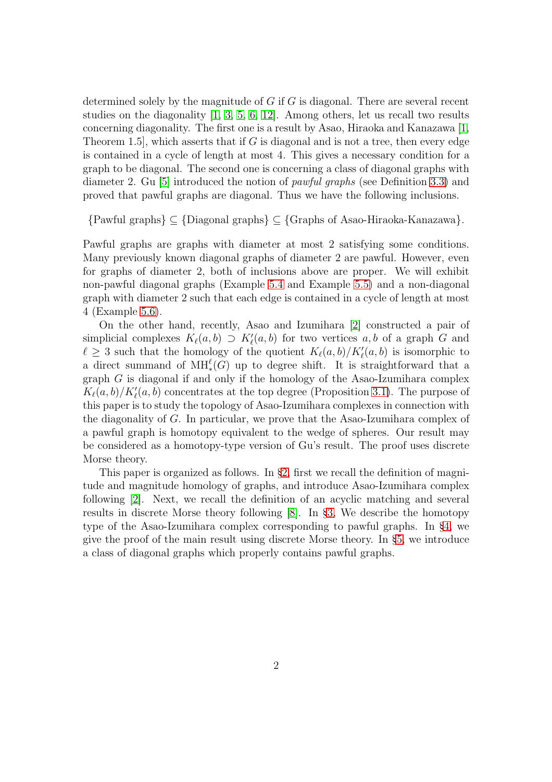determined solely by the magnitude of  $G$  if  $G$  is diagonal. There are several recent studies on the diagonality [\[1,](#page-14-6) [3,](#page-14-2) [5,](#page-14-5) [6,](#page-14-1) [12\]](#page-15-1). Among others, let us recall two results concerning diagonality. The first one is a result by Asao, Hiraoka and Kanazawa [\[1,](#page-14-6) Theorem 1.5, which asserts that if G is diagonal and is not a tree, then every edge is contained in a cycle of length at most 4. This gives a necessary condition for a graph to be diagonal. The second one is concerning a class of diagonal graphs with diameter 2. Gu [\[5\]](#page-14-5) introduced the notion of pawful graphs (see Definition [3.3\)](#page-7-0) and proved that pawful graphs are diagonal. Thus we have the following inclusions.

{Pawful graphs} ⊆ {Diagonal graphs} ⊆ {Graphs of Asao-Hiraoka-Kanazawa}.

Pawful graphs are graphs with diameter at most 2 satisfying some conditions. Many previously known diagonal graphs of diameter 2 are pawful. However, even for graphs of diameter 2, both of inclusions above are proper. We will exhibit non-pawful diagonal graphs (Example [5.4](#page-11-0) and Example [5.5\)](#page-13-0) and a non-diagonal graph with diameter 2 such that each edge is contained in a cycle of length at most 4 (Example [5.6\)](#page-13-1).

On the other hand, recently, Asao and Izumihara [\[2\]](#page-14-7) constructed a pair of simplicial complexes  $K_{\ell}(a, b) \supset K'_{\ell}(a, b)$  for two vertices  $a, b$  of a graph G and  $\ell \geq 3$  such that the homology of the quotient  $K_{\ell}(a, b)/K'_{\ell}(a, b)$  is isomorphic to a direct summand of  $\text{MH}^{\ell}_*(G)$  up to degree shift. It is straightforward that a graph G is diagonal if and only if the homology of the Asao-Izumihara complex  $K_{\ell}(a, b)/K'_{\ell}(a, b)$  concentrates at the top degree (Proposition [3.1\)](#page-6-0). The purpose of this paper is to study the topology of Asao-Izumihara complexes in connection with the diagonality of G. In particular, we prove that the Asao-Izumihara complex of a pawful graph is homotopy equivalent to the wedge of spheres. Our result may be considered as a homotopy-type version of Gu's result. The proof uses discrete Morse theory.

This paper is organized as follows. In §[2,](#page-2-0) first we recall the definition of magnitude and magnitude homology of graphs, and introduce Asao-Izumihara complex following [\[2\]](#page-14-7). Next, we recall the definition of an acyclic matching and several results in discrete Morse theory following [\[8\]](#page-14-8). In §[3,](#page-6-1) We describe the homotopy type of the Asao-Izumihara complex corresponding to pawful graphs. In §[4,](#page-8-0) we give the proof of the main result using discrete Morse theory. In §[5,](#page-10-0) we introduce a class of diagonal graphs which properly contains pawful graphs.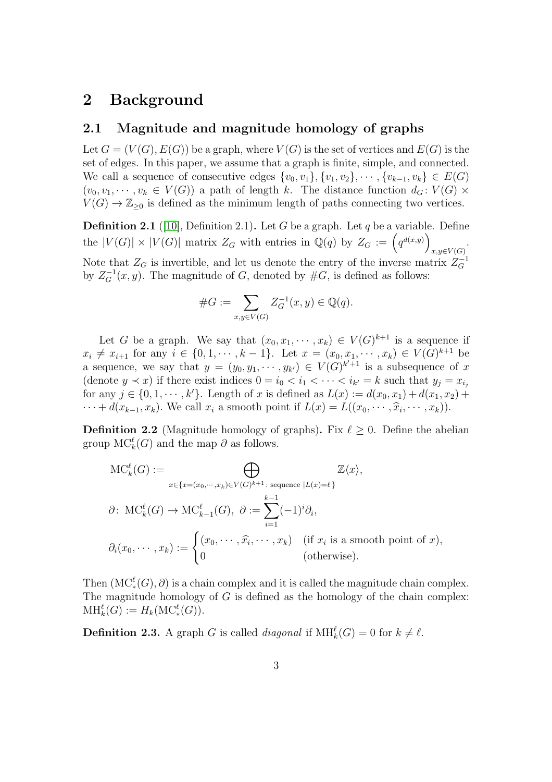## <span id="page-2-0"></span>2 Background

#### 2.1 Magnitude and magnitude homology of graphs

Let  $G = (V(G), E(G))$  be a graph, where  $V(G)$  is the set of vertices and  $E(G)$  is the set of edges. In this paper, we assume that a graph is finite, simple, and connected. We call a sequence of consecutive edges  $\{v_0, v_1\}, \{v_1, v_2\}, \cdots, \{v_{k-1}, v_k\} \in E(G)$  $(v_0, v_1, \dots, v_k \in V(G))$  a path of length k. The distance function  $d_G: V(G)$  x  $V(G) \to \mathbb{Z}_{\geq 0}$  is defined as the minimum length of paths connecting two vertices.

**Definition 2.1** ([\[10\]](#page-14-9), Definition 2.1). Let G be a graph. Let q be a variable. Define the  $|V(G)| \times |V(G)|$  matrix  $Z_G$  with entries in  $\mathbb{Q}(q)$  by  $Z_G := (q^{d(x,y)})$  $x,y\in V(G)$ . Note that  $Z_G$  is invertible, and let us denote the entry of the inverse matrix  $Z_G^{-1}$ by  $Z_G^{-1}(x, y)$ . The magnitude of G, denoted by  $#G$ , is defined as follows:

#G := X x,y∈V (G) Z −1 <sup>G</sup> (x, y) ∈ Q(q).

Let G be a graph. We say that  $(x_0, x_1, \dots, x_k) \in V(G)^{k+1}$  is a sequence if  $x_i \neq x_{i+1}$  for any  $i \in \{0, 1, \dots, k-1\}$ . Let  $x = (x_0, x_1, \dots, x_k) \in V(G)^{k+1}$  be a sequence, we say that  $y = (y_0, y_1, \dots, y_{k'}) \in V(G)^{k'+1}$  is a subsequence of x (denote  $y \prec x$ ) if there exist indices  $0 = i_0 < i_1 < \cdots < i_{k'} = k$  such that  $y_j = x_{i_j}$ for any  $j \in \{0, 1, \dots, k'\}$ . Length of x is defined as  $L(x) := d(x_0, x_1) + d(x_1, x_2) +$  $\cdots + d(x_{k-1}, x_k)$ . We call  $x_i$  a smooth point if  $L(x) = L((x_0, \dots, \widehat{x}_i, \dots, x_k))$ .

**Definition 2.2** (Magnitude homology of graphs). Fix  $\ell \geq 0$ . Define the abelian group  $\mathrm{MC}_k^{\ell}(G)$  and the map  $\partial$  as follows.

$$
MC_k^{\ell}(G) := \bigoplus_{x \in \{x = (x_0, \dots, x_k) \in V(G)^{k+1} : \text{ sequence } |L(x) = \ell\}} \mathbb{Z}\langle x \rangle,
$$
  

$$
\partial \colon \operatorname{MC}_k^{\ell}(G) \to \operatorname{MC}_{k-1}^{\ell}(G), \ \partial := \sum_{i=1}^{k-1} (-1)^i \partial_i,
$$
  

$$
\partial_i(x_0, \dots, x_k) := \begin{cases} (x_0, \dots, \hat{x}_i, \dots, x_k) & \text{(if } x_i \text{ is a smooth point of } x), \\ 0 & \text{(otherwise).} \end{cases}
$$

Then  $(MC^{\ell}_*(G), \partial)$  is a chain complex and it is called the magnitude chain complex. The magnitude homology of  $G$  is defined as the homology of the chain complex:  $\text{MH}_k^{\ell}(G) := H_k(\text{MC}^{\ell}_*(G)).$ 

<span id="page-2-1"></span>**Definition 2.3.** A graph G is called *diagonal* if  $\text{MH}_k^{\ell}(G) = 0$  for  $k \neq \ell$ .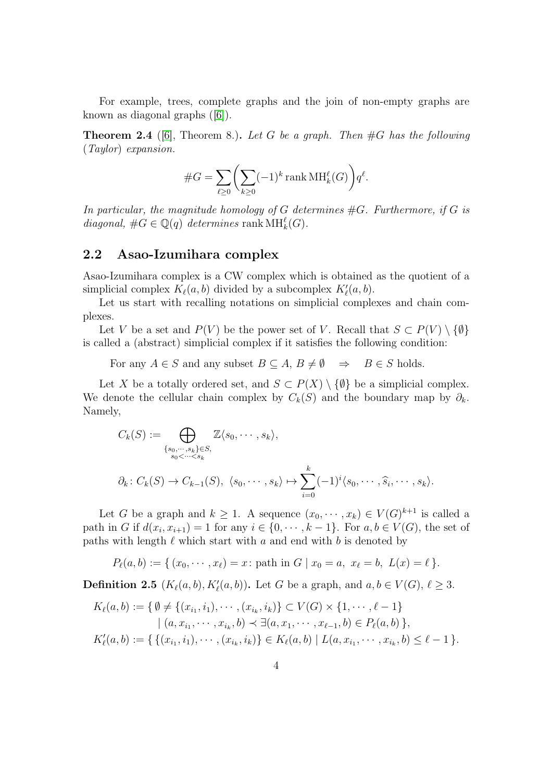For example, trees, complete graphs and the join of non-empty graphs are known as diagonal graphs ([\[6\]](#page-14-1)).

**Theorem 2.4** ([\[6\]](#page-14-1), Theorem 8.). Let G be a graph. Then  $#G$  has the following (Taylor) expansion.

#G = X ℓ≥0 X k≥0 (−1)<sup>k</sup> rank MH<sup>ℓ</sup> k (G) q ℓ .

In particular, the magnitude homology of G determines  $#G$ . Furthermore, if G is diagonal,  $\#G \in \mathbb{Q}(q)$  determines rank  $\text{MH}_k^{\ell}(G)$ .

#### 2.2 Asao-Izumihara complex

Asao-Izumihara complex is a CW complex which is obtained as the quotient of a simplicial complex  $K_{\ell}(a, b)$  divided by a subcomplex  $K'_{\ell}(a, b)$ .

Let us start with recalling notations on simplicial complexes and chain complexes.

Let V be a set and  $P(V)$  be the power set of V. Recall that  $S \subset P(V) \setminus \{\emptyset\}$ is called a (abstract) simplicial complex if it satisfies the following condition:

For any  $A \in S$  and any subset  $B \subseteq A$ ,  $B \neq \emptyset \Rightarrow B \in S$  holds.

Let X be a totally ordered set, and  $S \subset P(X) \setminus \{\emptyset\}$  be a simplicial complex. We denote the cellular chain complex by  $C_k(S)$  and the boundary map by  $\partial_k$ . Namely,

$$
C_k(S) := \bigoplus_{\{s_0, \dots, s_k\} \in S, \atop s_0 < \dots < s_k} \mathbb{Z}\langle s_0, \dots, s_k \rangle,
$$
  

$$
\partial_k \colon C_k(S) \to C_{k-1}(S), \ \langle s_0, \dots, s_k \rangle \mapsto \sum_{i=0}^k (-1)^i \langle s_0, \dots, \widehat{s}_i, \dots, s_k \rangle.
$$

Let G be a graph and  $k \geq 1$ . A sequence  $(x_0, \dots, x_k) \in V(G)^{k+1}$  is called a path in G if  $d(x_i, x_{i+1}) = 1$  for any  $i \in \{0, \dots, k-1\}$ . For  $a, b \in V(G)$ , the set of paths with length  $\ell$  which start with  $a$  and end with  $b$  is denoted by

 $P_{\ell}(a, b) := \{ (x_0, \dots, x_{\ell}) = x : \text{path in } G \mid x_0 = a, x_{\ell} = b, L(x) = \ell \}.$ 

**Definition 2.5**  $(K_{\ell}(a, b), K'_{\ell}(a, b))$ . Let G be a graph, and  $a, b \in V(G), \ell \geq 3$ .

$$
K_{\ell}(a,b) := \{ \emptyset \neq \{ (x_{i_1}, i_1), \cdots, (x_{i_k}, i_k) \} \subset V(G) \times \{1, \cdots, \ell - 1 \}
$$
  
\n
$$
| (a, x_{i_1}, \cdots, x_{i_k}, b) \prec \exists (a, x_1, \cdots, x_{\ell-1}, b) \in P_{\ell}(a,b) \},
$$
  
\n
$$
K'_{\ell}(a,b) := \{ \{ (x_{i_1}, i_1), \cdots, (x_{i_k}, i_k) \} \in K_{\ell}(a,b) \mid L(a, x_{i_1}, \cdots, x_{i_k}, b) \leq \ell - 1 \}.
$$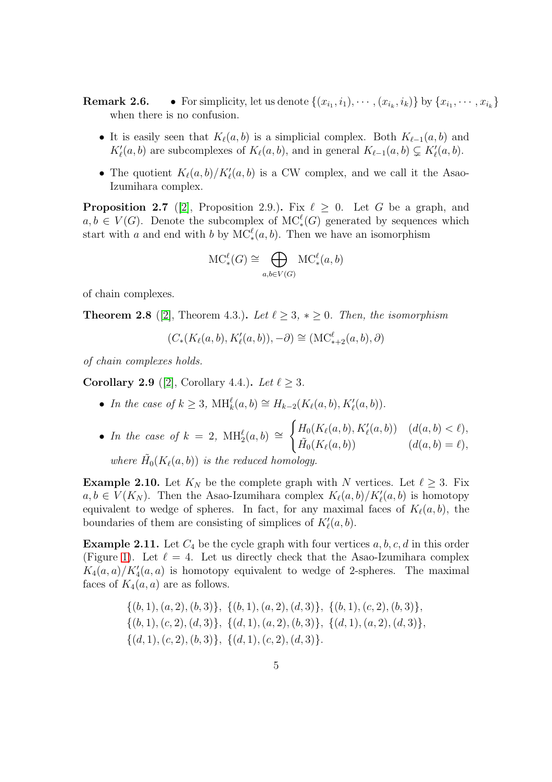**Remark 2.6.** • For simplicity, let us denote  $\{(x_{i_1}, i_1), \cdots, (x_{i_k}, i_k)\}$  by  $\{x_{i_1}, \cdots, x_{i_k}\}$ when there is no confusion.

- It is easily seen that  $K_{\ell}(a, b)$  is a simplicial complex. Both  $K_{\ell-1}(a, b)$  and  $K'_{\ell}(a, b)$  are subcomplexes of  $K_{\ell}(a, b)$ , and in general  $K_{\ell-1}(a, b) \subsetneq K'_{\ell}(a, b)$ .
- The quotient  $K_{\ell}(a, b)/K'_{\ell}(a, b)$  is a CW complex, and we call it the Asao-Izumihara complex.

**Proposition 2.7** ([\[2\]](#page-14-7), Proposition 2.9.). Fix  $\ell \geq 0$ . Let G be a graph, and  $a, b \in V(G)$ . Denote the subcomplex of  $MC_*^{\ell}(G)$  generated by sequences which start with a and end with b by  $MC_*^{\ell}(a, b)$ . Then we have an isomorphism

$$
\text{MC}^{\ell}_*(G) \cong \bigoplus_{a,b \in V(G)} \text{MC}^{\ell}_*(a,b)
$$

of chain complexes.

**Theorem 2.8** ([\[2\]](#page-14-7), Theorem 4.3.). Let  $\ell \geq 3$ ,  $*\geq 0$ . Then, the isomorphism

$$
(C_*(K_\ell(a,b),K'_\ell(a,b)),-\partial) \cong (\mathrm{MC}^\ell_{*+2}(a,b),\partial)
$$

of chain complexes holds.

<span id="page-4-0"></span>Corollary 2.9 ([\[2\]](#page-14-7), Corollary 4.4.). Let  $\ell > 3$ .

• In the case of  $k \geq 3$ ,  $\text{MH}_k^{\ell}(a, b) \cong H_{k-2}(K_{\ell}(a, b), K'_{\ell}(a, b)).$ 

• In the case of 
$$
k = 2
$$
,  $\text{MH}_2^{\ell}(a, b) \cong \begin{cases} H_0(K_{\ell}(a, b), K'_{\ell}(a, b)) & (d(a, b) < \ell), \\ \tilde{H}_0(K_{\ell}(a, b)) & (d(a, b) = \ell), \end{cases}$ 

where 
$$
\tilde{H}_0(K_{\ell}(a, b))
$$
 is the reduced homology.

<span id="page-4-1"></span>**Example 2.10.** Let  $K_N$  be the complete graph with N vertices. Let  $\ell \geq 3$ . Fix  $a, b \in V(K_N)$ . Then the Asao-Izumihara complex  $K_{\ell}(a, b)/K'_{\ell}(a, b)$  is homotopy equivalent to wedge of spheres. In fact, for any maximal faces of  $K_{\ell}(a, b)$ , the boundaries of them are consisting of simplices of  $K'_{\ell}(a, b)$ .

**Example 2.11.** Let  $C_4$  be the cycle graph with four vertices  $a, b, c, d$  in this order (Figure [1\)](#page-5-0). Let  $\ell = 4$ . Let us directly check that the Asao-Izumihara complex  $K_4(a,a)/K'_4(a,a)$  is homotopy equivalent to wedge of 2-spheres. The maximal faces of  $K_4(a, a)$  are as follows.

$$
\{(b,1), (a,2), (b,3)\}, \{(b,1), (a,2), (d,3)\}, \{(b,1), (c,2), (b,3)\}, \{(b,1), (c,2), (d,3)\}, \{(d,1), (a,2), (b,3)\}, \{(d,1), (a,2), (d,3)\}, \{(d,1), (c,2), (b,3)\}, \{(d,1), (c,2), (d,3)\}.
$$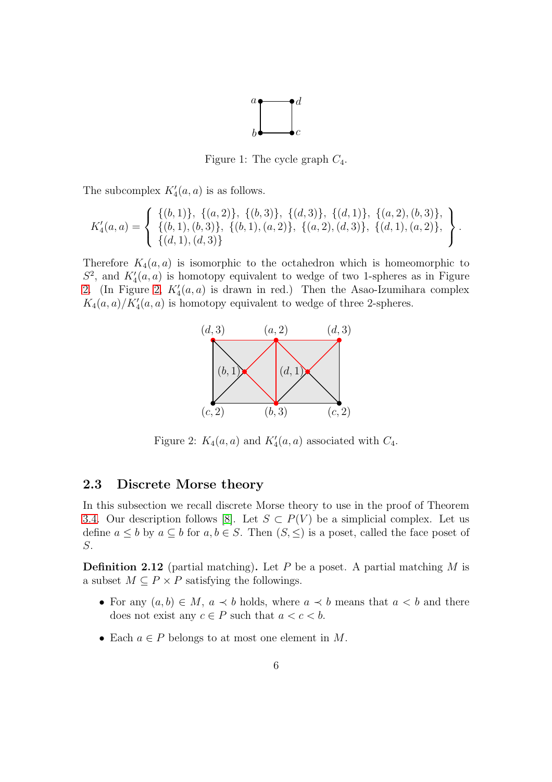

<span id="page-5-0"></span>Figure 1: The cycle graph  $C_4$ .

The subcomplex  $K_4'(a, a)$  is as follows.

$$
K_4'(a,a) = \left\{ \begin{array}{l} \{(b,1)\}, \{(a,2)\}, \{(b,3)\}, \{(d,3)\}, \{(d,1)\}, \{(a,2),(b,3)\}, \\ \{(b,1),(b,3)\}, \{(b,1),(a,2)\}, \{(a,2),(d,3)\}, \{(d,1),(a,2)\}, \\ \{(d,1),(d,3)\} \end{array} \right\}.
$$

Therefore  $K_4(a, a)$  is isomorphic to the octahedron which is homeomorphic to  $S^2$ , and  $K_4'(a, a)$  is homotopy equivalent to wedge of two 1-spheres as in Figure [2.](#page-5-1) (In Figure [2,](#page-5-1)  $K_4'(a, a)$  is drawn in red.) Then the Asao-Izumihara complex  $K_4(a,a)/K'_4(a,a)$  is homotopy equivalent to wedge of three 2-spheres.



<span id="page-5-1"></span>Figure 2:  $K_4(a, a)$  and  $K'_4(a, a)$  associated with  $C_4$ .

#### 2.3 Discrete Morse theory

In this subsection we recall discrete Morse theory to use in the proof of Theorem [3.4.](#page-7-1) Our description follows [\[8\]](#page-14-8). Let  $S \subset P(V)$  be a simplicial complex. Let us define  $a \leq b$  by  $a \subseteq b$  for  $a, b \in S$ . Then  $(S, \leq)$  is a poset, called the face poset of S.

**Definition 2.12** (partial matching). Let P be a poset. A partial matching M is a subset  $M \subseteq P \times P$  satisfying the followings.

- For any  $(a, b) \in M$ ,  $a \prec b$  holds, where  $a \prec b$  means that  $a < b$  and there does not exist any  $c \in P$  such that  $a < c < b$ .
- Each  $a \in P$  belongs to at most one element in M.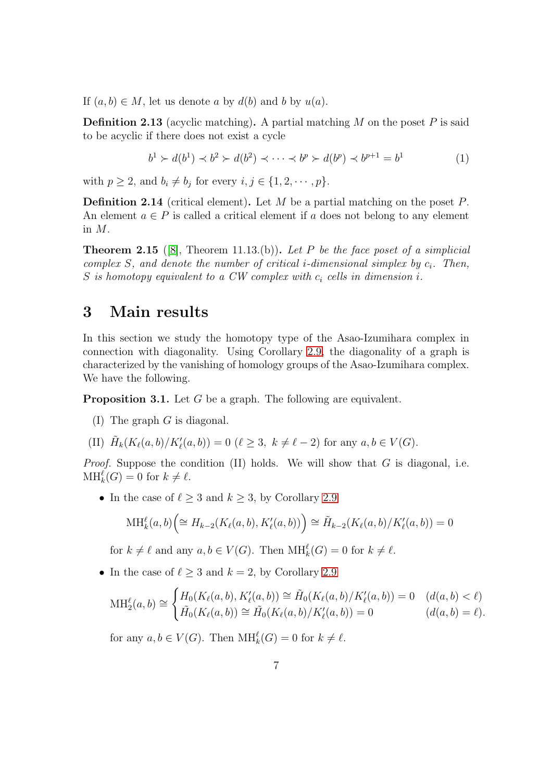If  $(a, b) \in M$ , let us denote a by  $d(b)$  and b by  $u(a)$ .

**Definition 2.13** (acyclic matching). A partial matching M on the poset P is said to be acyclic if there does not exist a cycle

$$
b^{1} \succ d(b^{1}) \prec b^{2} \succ d(b^{2}) \prec \cdots \prec b^{p} \succ d(b^{p}) \prec b^{p+1} = b^{1}
$$
 (1)

with  $p \geq 2$ , and  $b_i \neq b_j$  for every  $i, j \in \{1, 2, \dots, p\}.$ 

**Definition 2.14** (critical element). Let M be a partial matching on the poset  $P$ . An element  $a \in P$  is called a critical element if a does not belong to any element in M.

<span id="page-6-2"></span>**Theorem 2.15** ([\[8\]](#page-14-8), Theorem 11.13.(b)). Let P be the face poset of a simplicial complex  $S$ , and denote the number of critical *i*-dimensional simplex by  $c_i$ . Then, S is homotopy equivalent to a CW complex with  $c_i$  cells in dimension i.

### <span id="page-6-1"></span>3 Main results

In this section we study the homotopy type of the Asao-Izumihara complex in connection with diagonality. Using Corollary [2.9,](#page-4-0) the diagonality of a graph is characterized by the vanishing of homology groups of the Asao-Izumihara complex. We have the following.

<span id="page-6-0"></span>Proposition 3.1. Let G be a graph. The following are equivalent.

(I) The graph G is diagonal.

(II) 
$$
\tilde{H}_k(K_{\ell}(a,b)/K'_{\ell}(a,b)) = 0 \ (\ell \geq 3, \ k \neq \ell - 2)
$$
 for any  $a, b \in V(G)$ .

*Proof.* Suppose the condition  $(II)$  holds. We will show that G is diagonal, i.e.  $\text{MH}_k^{\ell}(G) = 0 \text{ for } k \neq \ell.$ 

• In the case of  $\ell \geq 3$  and  $k \geq 3$ , by Corollary [2.9](#page-4-0)

$$
\text{MH}_k^{\ell}(a,b)\Big(\cong H_{k-2}(K_{\ell}(a,b),K'_{\ell}(a,b))\Big)\cong \tilde{H}_{k-2}(K_{\ell}(a,b)/K'_{\ell}(a,b))=0
$$

for  $k \neq \ell$  and any  $a, b \in V(G)$ . Then  $\text{MH}_k^{\ell}(G) = 0$  for  $k \neq \ell$ .

• In the case of  $\ell \geq 3$  and  $k = 2$ , by Corollary [2.9](#page-4-0)

$$
\mathrm{MH}_{2}^{\ell}(a,b) \cong \begin{cases} H_{0}(K_{\ell}(a,b), K_{\ell}'(a,b)) \cong \tilde{H}_{0}(K_{\ell}(a,b)/K_{\ell}'(a,b)) = 0 & (d(a,b) < \ell) \\ \tilde{H}_{0}(K_{\ell}(a,b)) \cong \tilde{H}_{0}(K_{\ell}(a,b)/K_{\ell}'(a,b)) = 0 & (d(a,b) = \ell). \end{cases}
$$

for any  $a, b \in V(G)$ . Then  $\text{MH}_k^{\ell}(G) = 0$  for  $k \neq \ell$ .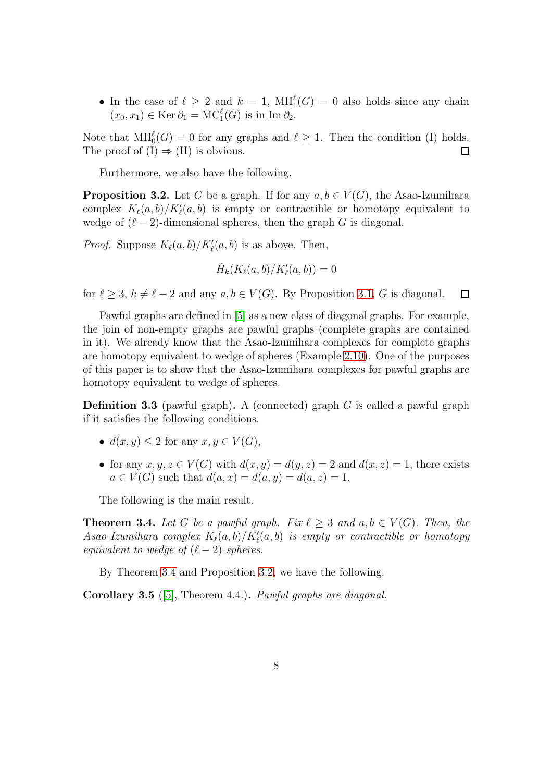• In the case of  $\ell \geq 2$  and  $k = 1$ ,  $\text{MH}_1^{\ell}(G) = 0$  also holds since any chain  $(x_0, x_1) \in \text{Ker } \partial_1 = \text{MC}_1^{\ell}(G)$  is in  $\text{Im } \partial_2$ .

Note that  $\text{MH}_{0}^{\ell}(G) = 0$  for any graphs and  $\ell \geq 1$ . Then the condition (I) holds. The proof of  $(I) \Rightarrow (II)$  is obvious.  $\Box$ 

Furthermore, we also have the following.

<span id="page-7-2"></span>**Proposition 3.2.** Let G be a graph. If for any  $a, b \in V(G)$ , the Asao-Izumihara complex  $K_{\ell}(a, b)/K'_{\ell}(a, b)$  is empty or contractible or homotopy equivalent to wedge of  $(\ell-2)$ -dimensional spheres, then the graph G is diagonal.

*Proof.* Suppose  $K_{\ell}(a, b)/K'_{\ell}(a, b)$  is as above. Then,

$$
\tilde{H}_k(K_{\ell}(a,b)/K'_{\ell}(a,b))=0
$$

for  $\ell \geq 3$ ,  $k \neq \ell - 2$  and any  $a, b \in V(G)$ . By Proposition [3.1,](#page-6-0) G is diagonal. П

Pawful graphs are defined in [\[5\]](#page-14-5) as a new class of diagonal graphs. For example, the join of non-empty graphs are pawful graphs (complete graphs are contained in it). We already know that the Asao-Izumihara complexes for complete graphs are homotopy equivalent to wedge of spheres (Example [2.10\)](#page-4-1). One of the purposes of this paper is to show that the Asao-Izumihara complexes for pawful graphs are homotopy equivalent to wedge of spheres.

<span id="page-7-0"></span>**Definition 3.3** (pawful graph). A (connected) graph G is called a pawful graph if it satisfies the following conditions.

- $d(x, y) \leq 2$  for any  $x, y \in V(G)$ ,
- for any  $x, y, z \in V(G)$  with  $d(x, y) = d(y, z) = 2$  and  $d(x, z) = 1$ , there exists  $a \in V(G)$  such that  $d(a, x) = d(a, y) = d(a, z) = 1$ .

The following is the main result.

<span id="page-7-1"></span>**Theorem 3.4.** Let G be a pawful graph. Fix  $\ell > 3$  and  $a, b \in V(G)$ . Then, the  $As a o-Izumihara \ complex \ K_{\ell}(a,b)/K'_{\ell}(a,b)$  is empty or contractible or homotopy equivalent to wedge of  $(\ell - 2)$ -spheres.

By Theorem [3.4](#page-7-1) and Proposition [3.2,](#page-7-2) we have the following.

Corollary 3.5 ([\[5\]](#page-14-5), Theorem 4.4.). Pawful graphs are diagonal.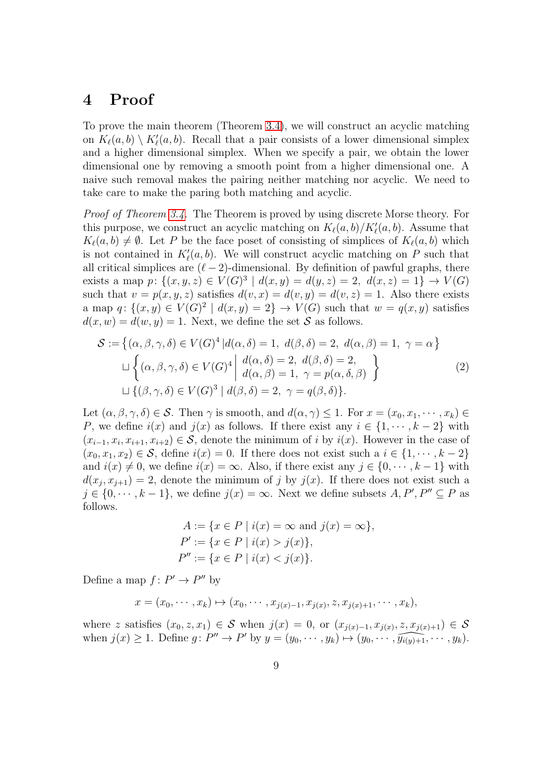## <span id="page-8-0"></span>4 Proof

To prove the main theorem (Theorem [3.4\)](#page-7-1), we will construct an acyclic matching on  $K_{\ell}(a, b) \setminus K'_{\ell}(a, b)$ . Recall that a pair consists of a lower dimensional simplex and a higher dimensional simplex. When we specify a pair, we obtain the lower dimensional one by removing a smooth point from a higher dimensional one. A naive such removal makes the pairing neither matching nor acyclic. We need to take care to make the paring both matching and acyclic.

Proof of Theorem [3.4.](#page-7-1) The Theorem is proved by using discrete Morse theory. For this purpose, we construct an acyclic matching on  $K_{\ell}(a, b)/K'_{\ell}(a, b)$ . Assume that  $K_{\ell}(a, b) \neq \emptyset$ . Let P be the face poset of consisting of simplices of  $K_{\ell}(a, b)$  which is not contained in  $K'_{\ell}(a, b)$ . We will construct acyclic matching on P such that all critical simplices are  $(\ell-2)$ -dimensional. By definition of pawful graphs, there exists a map  $p: \{(x, y, z) \in V(G)^3 \mid d(x, y) = d(y, z) = 2, d(x, z) = 1\} \to V(G)$ such that  $v = p(x, y, z)$  satisfies  $d(v, x) = d(v, y) = d(v, z) = 1$ . Also there exists a map  $q: \{(x,y) \in V(G)^2 \mid d(x,y) = 2\} \rightarrow V(G)$  such that  $w = q(x,y)$  satisfies  $d(x, w) = d(w, y) = 1$ . Next, we define the set S as follows.

$$
S := \{ (\alpha, \beta, \gamma, \delta) \in V(G)^4 | d(\alpha, \delta) = 1, d(\beta, \delta) = 2, d(\alpha, \beta) = 1, \gamma = \alpha \}
$$
  

$$
\sqcup \left\{ (\alpha, \beta, \gamma, \delta) \in V(G)^4 | \begin{array}{c} d(\alpha, \delta) = 2, d(\beta, \delta) = 2, \\ d(\alpha, \beta) = 1, \gamma = p(\alpha, \delta, \beta) \end{array} \right\}
$$
  

$$
\sqcup \left\{ (\beta, \gamma, \delta) \in V(G)^3 | d(\beta, \delta) = 2, \gamma = q(\beta, \delta) \right\}.
$$
 (2)

Let  $(\alpha, \beta, \gamma, \delta) \in \mathcal{S}$ . Then  $\gamma$  is smooth, and  $d(\alpha, \gamma) \leq 1$ . For  $x = (x_0, x_1, \dots, x_k) \in$ P, we define  $i(x)$  and  $j(x)$  as follows. If there exist any  $i \in \{1, \dots, k-2\}$  with  $(x_{i-1}, x_i, x_{i+1}, x_{i+2}) \in S$ , denote the minimum of i by  $i(x)$ . However in the case of  $(x_0, x_1, x_2) \in \mathcal{S}$ , define  $i(x) = 0$ . If there does not exist such a  $i \in \{1, \dots, k-2\}$ and  $i(x) \neq 0$ , we define  $i(x) = \infty$ . Also, if there exist any  $j \in \{0, \dots, k-1\}$  with  $d(x_j, x_{j+1}) = 2$ , denote the minimum of j by  $j(x)$ . If there does not exist such a  $j \in \{0, \dots, k-1\}$ , we define  $j(x) = \infty$ . Next we define subsets  $A, P', P'' \subseteq P$  as follows.

$$
A := \{ x \in P \mid i(x) = \infty \text{ and } j(x) = \infty \},
$$
  
\n
$$
P' := \{ x \in P \mid i(x) > j(x) \},
$$
  
\n
$$
P'' := \{ x \in P \mid i(x) < j(x) \}.
$$

Define a map  $f: P' \to P''$  by

$$
x = (x_0, \cdots, x_k) \mapsto (x_0, \cdots, x_{j(x)-1}, x_{j(x)}, z, x_{j(x)+1}, \cdots, x_k),
$$

where z satisfies  $(x_0, z, x_1) \in S$  when  $j(x) = 0$ , or  $(x_{j(x)-1}, x_{j(x)}, z, x_{j(x)+1}) \in S$ when  $j(x) \geq 1$ . Define  $g: P'' \to P'$  by  $y = (y_0, \dots, y_k) \mapsto (y_0, \dots, \widehat{y_{i(y)+1}}, \dots, y_k)$ .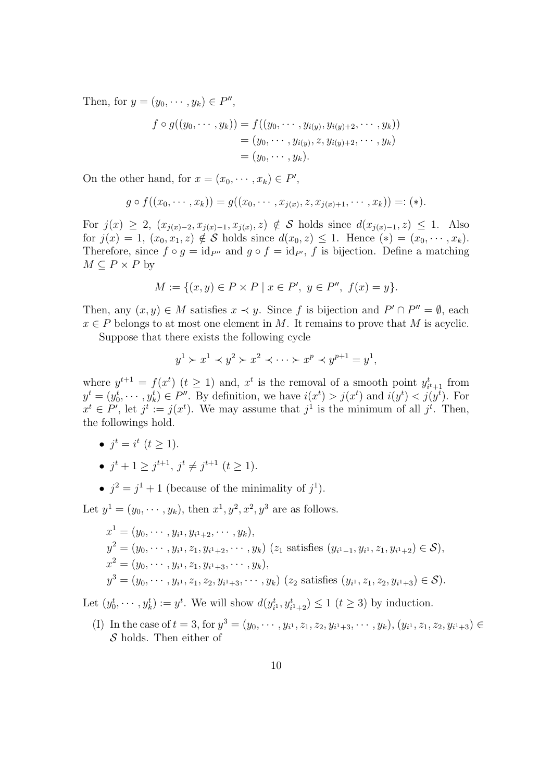Then, for  $y = (y_0, \dots, y_k) \in P'',$ 

$$
f \circ g((y_0, \dots, y_k)) = f((y_0, \dots, y_{i(y)}, y_{i(y)+2}, \dots, y_k))
$$
  
=  $(y_0, \dots, y_{i(y)}, z, y_{i(y)+2}, \dots, y_k)$   
=  $(y_0, \dots, y_k).$ 

On the other hand, for  $x = (x_0, \dots, x_k) \in P'$ ,

$$
g \circ f((x_0, \cdots, x_k)) = g((x_0, \cdots, x_{j(x)}, z, x_{j(x)+1}, \cdots, x_k)) =: (*).
$$

For  $j(x) \geq 2$ ,  $(x_{j(x)-2}, x_{j(x)-1}, x_{j(x)}, z) \notin S$  holds since  $d(x_{j(x)-1}, z) \leq 1$ . Also for  $j(x) = 1$ ,  $(x_0, x_1, z) \notin S$  holds since  $d(x_0, z) \leq 1$ . Hence  $(*) = (x_0, \dots, x_k)$ . Therefore, since  $f \circ q = id_{P'}$  and  $q \circ f = id_{P'}$ , f is bijection. Define a matching  $M \subseteq P \times P$  by

$$
M := \{(x, y) \in P \times P \mid x \in P', \ y \in P'', \ f(x) = y\}.
$$

Then, any  $(x, y) \in M$  satisfies  $x \prec y$ . Since f is bijection and  $P' \cap P'' = \emptyset$ , each  $x \in P$  belongs to at most one element in M. It remains to prove that M is acyclic.

Suppose that there exists the following cycle

$$
y1 \succ x1 \prec y2 \succ x2 \prec \cdots \succ xp \prec yp+1 = y1,
$$

where  $y^{t+1} = f(x^t)$   $(t \ge 1)$  and,  $x^t$  is the removal of a smooth point  $y_{i^t+1}^t$  from  $y^t = (y_0^t, \dots, y_k^t) \in P''$ . By definition, we have  $i(x^t) > j(x^t)$  and  $i(y^t) < j(y^t)$ . For  $x^t \in P'$ , let  $j^t := j(x^t)$ . We may assume that  $j^1$  is the minimum of all  $j^t$ . Then, the followings hold.

- $j^t = i^t \ (t \geq 1)$ .
- $j^{t} + 1 \geq j^{t+1}, j^{t} \neq j^{t+1}$   $(t \geq 1)$ .
- $j^2 = j^1 + 1$  (because of the minimality of  $j^1$ ).

Let  $y^1 = (y_0, \dots, y_k)$ , then  $x^1, y^2, x^2, y^3$  are as follows.

$$
x^{1} = (y_{0}, \dots, y_{i^{1}}, y_{i^{1}+2}, \dots, y_{k}),
$$
  
\n
$$
y^{2} = (y_{0}, \dots, y_{i^{1}}, z_{1}, y_{i^{1}+2}, \dots, y_{k})
$$
 ( $z_{1}$  satisfies  $(y_{i^{1}-1}, y_{i^{1}}, z_{1}, y_{i^{1}+2}) \in S$ ),  
\n
$$
x^{2} = (y_{0}, \dots, y_{i^{1}}, z_{1}, y_{i^{1}+3}, \dots, y_{k}),
$$
  
\n
$$
y^{3} = (y_{0}, \dots, y_{i^{1}}, z_{1}, z_{2}, y_{i^{1}+3}, \dots, y_{k})
$$
 ( $z_{2}$  satisfies  $(y_{i^{1}}, z_{1}, z_{2}, y_{i^{1}+3}) \in S$ ).

Let  $(y_0^t, \dots, y_k^t) := y^t$ . We will show  $d(y_i^t)$  $t_{i^1}^t, y_{i^1+2}^t) \le 1$   $(t \ge 3)$  by induction.

(I) In the case of  $t = 3$ , for  $y^3 = (y_0, \dots, y_{i^1}, z_1, z_2, y_{i^1+3}, \dots, y_k), (y_{i^1}, z_1, z_2, y_{i^1+3}) \in$  $S$  holds. Then either of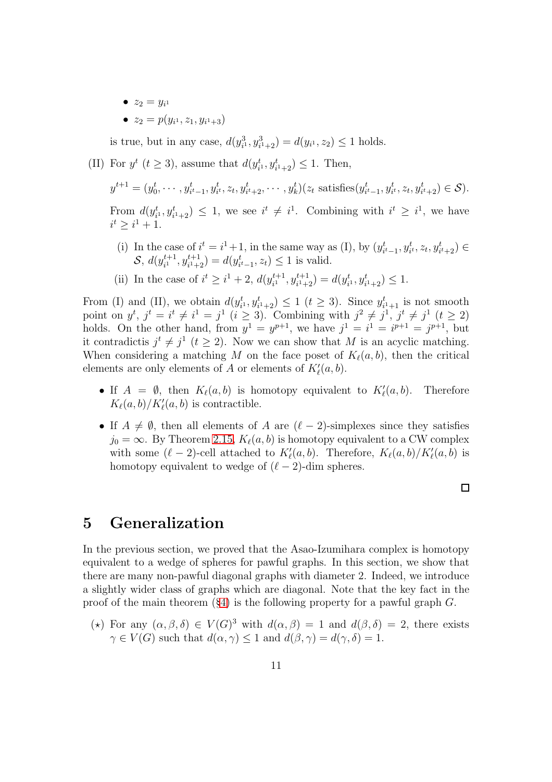- $z_2 = y_{i^1}$
- $z_2 = p(y_{i^1}, z_1, y_{i^1+3})$

is true, but in any case,  $d(y_{i^1}^3, y_{i^1+2}^3) = d(y_{i^1}, z_2) \le 1$  holds.

(II) For  $y^t$   $(t \geq 3)$ , assume that  $d(y_i^t)$  $t_{i^1}, y_{i^1+2}^t \geq 1$ . Then,

 $y^{t+1} = (y_0^t)$  $y_0^t, \dots, y_{i^t-1}^t, y_{i^t}^t, z_t, y_{i^t+2}^t, \dots, y_k^t$  $(z_t$  satisfies $(y_{i^t-1}^t, y_{i^t}^t, z_t, y_{i^t+2}^t) \in S$ . From  $d(y_i^t)$  $i<sub>i</sub>$ ,  $y<sub>i+2</sub>$ )  $\leq 1$ , we see  $i<sup>t</sup> \neq i<sup>1</sup>$ . Combining with  $i<sup>t</sup> \geq i<sup>1</sup>$ , we have  $i^t \geq i^1 + 1.$ 

- (i) In the case of  $i^t = i^1 + 1$ , in the same way as (I), by  $(y_{i^t-1}^t, y_{i^t}^t, z_t, y_{i^t+2}^t) \in$  $\mathcal{S}, d(y_{i^1}^{t+1})$  $i_{i}^{t+1}, y_{i^{1}+2}^{t+1}) = d(y_{i^{t}-1}^{t}, z_{t}) \leq 1$  is valid.
- (ii) In the case of  $i^t \geq i^1 + 2$ ,  $d(y_{i^1}^{t+1})$  $t^{i+1}_{i^1}, y^{t+1}_{i^1+2}) = d(y^t_i)$  $t_{i^1}, y_{i^1+2}^t) \leq 1.$

From (I) and (II), we obtain  $d(y_i^t)$  $(t_{i^1}, y_{i^1+2}^t) \le 1$   $(t \ge 3)$ . Since  $y_i^t$  $t_{i+1}$  is not smooth point on  $y^t$ ,  $j^t = i^t \neq i^1 = j^1$   $(i \geq 3)$ . Combining with  $j^2 \neq j^1$ ,  $j^t \neq j^1$   $(t \geq 2)$ holds. On the other hand, from  $y^1 = y^{p+1}$ , we have  $j^1 = i^1 = i^{p+1} = j^{p+1}$ , but it contradictis  $j^t \neq j^1$   $(t \geq 2)$ . Now we can show that M is an acyclic matching. When considering a matching M on the face poset of  $K_{\ell}(a, b)$ , then the critical elements are only elements of A or elements of  $K'_{\ell}(a, b)$ .

- If  $A = \emptyset$ , then  $K_{\ell}(a, b)$  is homotopy equivalent to  $K'_{\ell}$ Therefore  $K_{\ell}(a, b)/K'_{\ell}(a, b)$  is contractible.
- If  $A \neq \emptyset$ , then all elements of A are  $(\ell-2)$ -simplexes since they satisfies  $j_0 = \infty$ . By Theorem [2.15,](#page-6-2)  $K_{\ell}(a, b)$  is homotopy equivalent to a CW complex with some  $(\ell-2)$ -cell attached to  $K'_{\ell}(a, b)$ . Therefore,  $K_{\ell}(a, b)/K'_{\ell}(a, b)$  is homotopy equivalent to wedge of  $(\ell-2)$ -dim spheres.

 $\Box$ 

## <span id="page-10-0"></span>5 Generalization

In the previous section, we proved that the Asao-Izumihara complex is homotopy equivalent to a wedge of spheres for pawful graphs. In this section, we show that there are many non-pawful diagonal graphs with diameter 2. Indeed, we introduce a slightly wider class of graphs which are diagonal. Note that the key fact in the proof of the main theorem  $(\S 4)$  $(\S 4)$  is the following property for a pawful graph G.

(\*) For any  $(\alpha, \beta, \delta) \in V(G)^3$  with  $d(\alpha, \beta) = 1$  and  $d(\beta, \delta) = 2$ , there exists  $\gamma \in V(G)$  such that  $d(\alpha, \gamma) \leq 1$  and  $d(\beta, \gamma) = d(\gamma, \delta) = 1$ .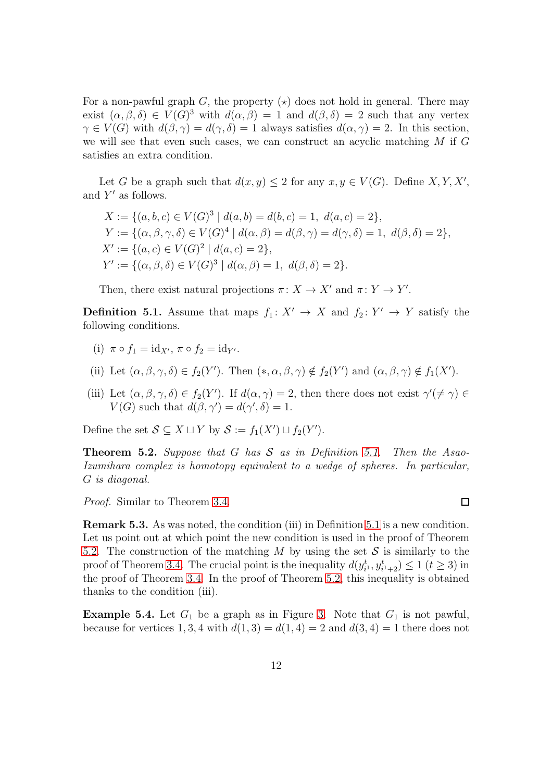For a non-pawful graph G, the property  $(\star)$  does not hold in general. There may exist  $(\alpha, \beta, \delta) \in V(G)^3$  with  $d(\alpha, \beta) = 1$  and  $d(\beta, \delta) = 2$  such that any vertex  $\gamma \in V(G)$  with  $d(\beta, \gamma) = d(\gamma, \delta) = 1$  always satisfies  $d(\alpha, \gamma) = 2$ . In this section, we will see that even such cases, we can construct an acyclic matching M if G satisfies an extra condition.

Let G be a graph such that  $d(x, y) \leq 2$  for any  $x, y \in V(G)$ . Define  $X, Y, X'$ , and  $Y'$  as follows.

$$
X := \{ (a, b, c) \in V(G)^3 \mid d(a, b) = d(b, c) = 1, d(a, c) = 2 \},
$$
  
\n
$$
Y := \{ (\alpha, \beta, \gamma, \delta) \in V(G)^4 \mid d(\alpha, \beta) = d(\beta, \gamma) = d(\gamma, \delta) = 1, d(\beta, \delta) = 2 \},
$$
  
\n
$$
X' := \{ (a, c) \in V(G)^2 \mid d(a, c) = 2 \},
$$
  
\n
$$
Y' := \{ (\alpha, \beta, \delta) \in V(G)^3 \mid d(\alpha, \beta) = 1, d(\beta, \delta) = 2 \}.
$$

Then, there exist natural projections  $\pi: X \to X'$  and  $\pi: Y \to Y'$ .

<span id="page-11-1"></span>**Definition 5.1.** Assume that maps  $f_1: X' \to X$  and  $f_2: Y' \to Y$  satisfy the following conditions.

- (i)  $\pi \circ f_1 = id_{X'}, \pi \circ f_2 = id_{Y'}$ .
- (ii) Let  $(\alpha, \beta, \gamma, \delta) \in f_2(Y')$ . Then  $(*, \alpha, \beta, \gamma) \notin f_2(Y')$  and  $(\alpha, \beta, \gamma) \notin f_1(X')$ .
- (iii) Let  $(\alpha, \beta, \gamma, \delta) \in f_2(Y')$ . If  $d(\alpha, \gamma) = 2$ , then there does not exist  $\gamma'(\neq \gamma) \in$  $V(G)$  such that  $d(\beta, \gamma') = d(\gamma', \delta) = 1$ .

Define the set  $S \subseteq X \sqcup Y$  by  $S := f_1(X') \sqcup f_2(Y')$ .

<span id="page-11-2"></span>**Theorem 5.2.** Suppose that G has  $S$  as in Definition [5.1.](#page-11-1) Then the Asao-Izumihara complex is homotopy equivalent to a wedge of spheres. In particular, G is diagonal.

Proof. Similar to Theorem [3.4.](#page-7-1)

Remark 5.3. As was noted, the condition (iii) in Definition [5.1](#page-11-1) is a new condition. Let us point out at which point the new condition is used in the proof of Theorem [5.2.](#page-11-2) The construction of the matching M by using the set  $S$  is similarly to the proof of Theorem [3.4.](#page-7-1) The crucial point is the inequality  $d(y_i^t)$  $t_{i^1}^t, y_{i^1+2}^t) \le 1$   $(t \ge 3)$  in the proof of Theorem [3.4.](#page-7-1) In the proof of Theorem [5.2,](#page-11-2) this inequality is obtained thanks to the condition (iii).

<span id="page-11-0"></span>**Example 5.4.** Let  $G_1$  be a graph as in Figure [3.](#page-12-0) Note that  $G_1$  is not pawful, because for vertices 1, 3, 4 with  $d(1,3) = d(1,4) = 2$  and  $d(3,4) = 1$  there does not

 $\Box$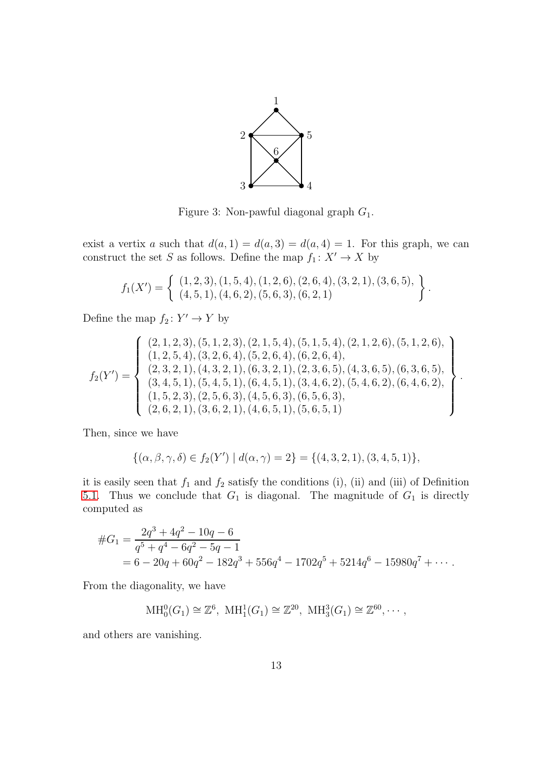

<span id="page-12-0"></span>Figure 3: Non-pawful diagonal graph  $G_1$ .

exist a vertix a such that  $d(a, 1) = d(a, 3) = d(a, 4) = 1$ . For this graph, we can construct the set  $S$  as follows. Define the map  $f_1\colon X'\to X$  by

$$
f_1(X') = \left\{ \begin{array}{c} (1,2,3), (1,5,4), (1,2,6), (2,6,4), (3,2,1), (3,6,5), \\ (4,5,1), (4,6,2), (5,6,3), (6,2,1) \end{array} \right\}.
$$

Define the map  $f_2: Y' \to Y$  by

$$
f_2(Y') = \left\{\n\begin{array}{c}\n(2,1,2,3), (5,1,2,3), (2,1,5,4), (5,1,5,4), (2,1,2,6), (5,1,2,6), \\
(1,2,5,4), (3,2,6,4), (5,2,6,4), (6,2,6,4), \\
(2,3,2,1), (4,3,2,1), (6,3,2,1), (2,3,6,5), (4,3,6,5), (6,3,6,5), \\
(3,4,5,1), (5,4,5,1), (6,4,5,1), (3,4,6,2), (5,4,6,2), (6,4,6,2), \\
(1,5,2,3), (2,5,6,3), (4,5,6,3), (6,5,6,3), \\
(2,6,2,1), (3,6,2,1), (4,6,5,1), (5,6,5,1)\n\end{array}\n\right\}
$$

.

Then, since we have

$$
\{(\alpha,\beta,\gamma,\delta)\in f_2(Y')\mid d(\alpha,\gamma)=2\}=\{(4,3,2,1),(3,4,5,1)\},\
$$

it is easily seen that  $f_1$  and  $f_2$  satisfy the conditions (i), (ii) and (iii) of Definition [5.1.](#page-11-1) Thus we conclude that  $G_1$  is diagonal. The magnitude of  $G_1$  is directly computed as

$$
#G_1 = \frac{2q^3 + 4q^2 - 10q - 6}{q^5 + q^4 - 6q^2 - 5q - 1}
$$
  
= 6 - 20q + 60q<sup>2</sup> - 182q<sup>3</sup> + 556q<sup>4</sup> - 1702q<sup>5</sup> + 5214q<sup>6</sup> - 15980q<sup>7</sup> + ...

From the diagonality, we have

$$
\mathrm{MH}_0^0(G_1) \cong \mathbb{Z}^6
$$
,  $\mathrm{MH}_1^1(G_1) \cong \mathbb{Z}^{20}$ ,  $\mathrm{MH}_3^3(G_1) \cong \mathbb{Z}^{60}$ ,  $\cdots$ ,

and others are vanishing.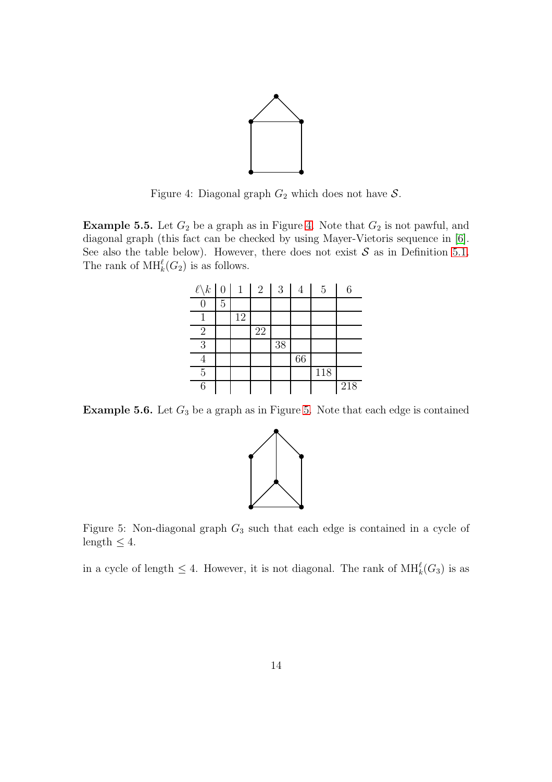

<span id="page-13-2"></span>Figure 4: Diagonal graph  $G_2$  which does not have  $S$ .

<span id="page-13-0"></span>**Example 5.5.** Let  $G_2$  be a graph as in Figure [4.](#page-13-2) Note that  $G_2$  is not pawful, and diagonal graph (this fact can be checked by using Mayer-Vietoris sequence in [\[6\]](#page-14-1). See also the table below). However, there does not exist  $S$  as in Definition [5.1.](#page-11-1) The rank of  $\text{MH}_k^{\ell}(G_2)$  is as follows.

| $\ell \backslash k$ | 0              | 1  | $\overline{2}$ | 3  | 4  | 5   | 6   |
|---------------------|----------------|----|----------------|----|----|-----|-----|
|                     | $\overline{5}$ |    |                |    |    |     |     |
|                     |                | 12 |                |    |    |     |     |
| $\overline{2}$      |                |    | 22             |    |    |     |     |
| 3                   |                |    |                | 38 |    |     |     |
|                     |                |    |                |    | 66 |     |     |
| 5                   |                |    |                |    |    | 118 |     |
| 6                   |                |    |                |    |    |     | 218 |

<span id="page-13-1"></span>**Example [5.](#page-13-3)6.** Let  $G_3$  be a graph as in Figure 5. Note that each edge is contained



<span id="page-13-3"></span>Figure 5: Non-diagonal graph  $G_3$  such that each edge is contained in a cycle of length  $\leq 4$ .

in a cycle of length  $\leq 4$ . However, it is not diagonal. The rank of  $\text{MH}_k^{\ell}(G_3)$  is as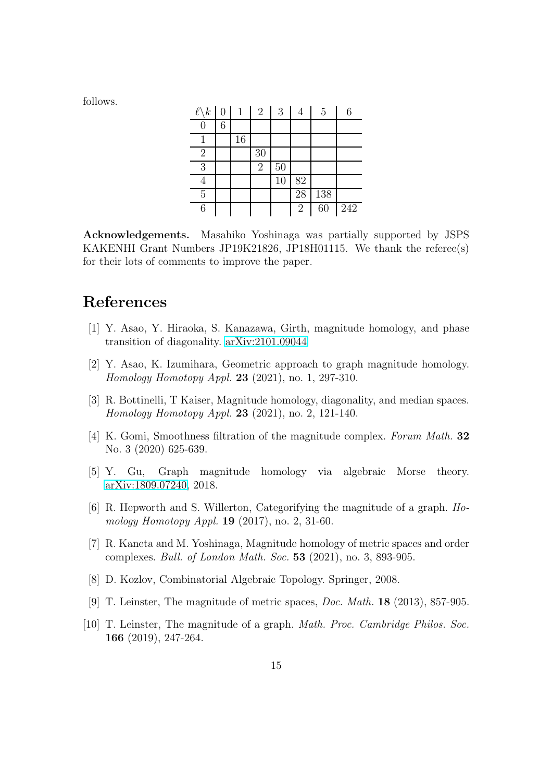follows.

| $\ell \backslash k$ | $\overline{0}$ | $\mathbf{1}$ | $\overline{2}$ | 3  | 4              | 5               |     |
|---------------------|----------------|--------------|----------------|----|----------------|-----------------|-----|
| O                   | 6              |              |                |    |                |                 |     |
|                     |                | 16           |                |    |                |                 |     |
| $\overline{2}$      |                |              | 30             |    |                |                 |     |
| 3                   |                |              | $\overline{2}$ | 50 |                |                 |     |
| ┱                   |                |              |                | 10 | 82             |                 |     |
| $\overline{5}$      |                |              |                |    | 28             | 138             |     |
| 6                   |                |              |                |    | $\overline{2}$ | $\overline{60}$ | 242 |

Acknowledgements. Masahiko Yoshinaga was partially supported by JSPS KAKENHI Grant Numbers JP19K21826, JP18H01115. We thank the referee(s) for their lots of comments to improve the paper.

## <span id="page-14-6"></span>References

- <span id="page-14-7"></span>[1] Y. Asao, Y. Hiraoka, S. Kanazawa, Girth, magnitude homology, and phase transition of diagonality. [arXiv:2101.09044](http://arxiv.org/abs/2101.09044)
- <span id="page-14-2"></span>[2] Y. Asao, K. Izumihara, Geometric approach to graph magnitude homology. Homology Homotopy Appl. 23 (2021), no. 1, 297-310.
- [3] R. Bottinelli, T Kaiser, Magnitude homology, diagonality, and median spaces. Homology Homotopy Appl. 23 (2021), no. 2, 121-140.
- <span id="page-14-4"></span>[4] K. Gomi, Smoothness filtration of the magnitude complex. Forum Math. 32 No. 3 (2020) 625-639.
- <span id="page-14-5"></span><span id="page-14-1"></span>[5] Y. Gu, Graph magnitude homology via algebraic Morse theory. [arXiv:1809.07240,](http://arxiv.org/abs/1809.07240) 2018.
- [6] R. Hepworth and S. Willerton, Categorifying the magnitude of a graph. Homology Homotopy Appl. 19 (2017), no. 2, 31-60.
- <span id="page-14-3"></span>[7] R. Kaneta and M. Yoshinaga, Magnitude homology of metric spaces and order complexes. Bull. of London Math. Soc. 53 (2021), no. 3, 893-905.
- <span id="page-14-8"></span><span id="page-14-0"></span>[8] D. Kozlov, Combinatorial Algebraic Topology. Springer, 2008.
- <span id="page-14-9"></span>[9] T. Leinster, The magnitude of metric spaces, Doc. Math. 18 (2013), 857-905.
- [10] T. Leinster, The magnitude of a graph. Math. Proc. Cambridge Philos. Soc. 166 (2019), 247-264.